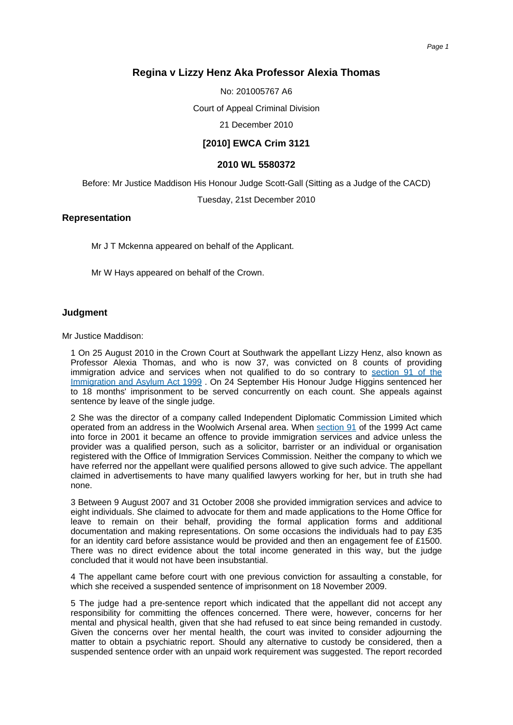# **Regina v Lizzy Henz Aka Professor Alexia Thomas**

No: 201005767 A6

Court of Appeal Criminal Division

21 December 2010

## **[2010] EWCA Crim 3121**

### **2010 WL 5580372**

Before: Mr Justice Maddison His Honour Judge Scott-Gall (Sitting as a Judge of the CACD)

Tuesday, 21st December 2010

### **Representation**

Mr J T Mckenna appeared on behalf of the Applicant.

Mr W Hays appeared on behalf of the Crown.

#### **Judgment**

Mr Justice Maddison:

1 On 25 August 2010 in the Crown Court at Southwark the appellant Lizzy Henz, also known as Professor Alexia Thomas, and who is now 37, was convicted on 8 counts of providing immigration advice and services when not qualified to do so contrary to [section](http://login.westlaw.co.uk/maf/wluk/ext/app/document?src=doc&linktype=ref&context=248&crumb-action=replace&docguid=IA7B62660E45011DA8D70A0E70A78ED65) 91 of the [Immigration](http://login.westlaw.co.uk/maf/wluk/ext/app/document?src=doc&linktype=ref&context=248&crumb-action=replace&docguid=IA7B62660E45011DA8D70A0E70A78ED65) and Asylum Act 1999 . On 24 September His Honour Judge Higgins sentenced her to 18 months' imprisonment to be served concurrently on each count. She appeals against sentence by leave of the single judge.

2 She was the director of a company called Independent Diplomatic Commission Limited which operated from an address in the Woolwich Arsenal area. When [section](http://login.westlaw.co.uk/maf/wluk/ext/app/document?src=doc&linktype=ref&context=248&crumb-action=replace&docguid=IA7B62660E45011DA8D70A0E70A78ED65) 91 of the 1999 Act came into force in 2001 it became an offence to provide immigration services and advice unless the provider was a qualified person, such as a solicitor, barrister or an individual or organisation registered with the Office of Immigration Services Commission. Neither the company to which we have referred nor the appellant were qualified persons allowed to give such advice. The appellant claimed in advertisements to have many qualified lawyers working for her, but in truth she had none.

3 Between 9 August 2007 and 31 October 2008 she provided immigration services and advice to eight individuals. She claimed to advocate for them and made applications to the Home Office for leave to remain on their behalf, providing the formal application forms and additional documentation and making representations. On some occasions the individuals had to pay £35 for an identity card before assistance would be provided and then an engagement fee of £1500. There was no direct evidence about the total income generated in this way, but the judge concluded that it would not have been insubstantial.

4 The appellant came before court with one previous conviction for assaulting a constable, for which she received a suspended sentence of imprisonment on 18 November 2009.

5 The judge had a pre-sentence report which indicated that the appellant did not accept any responsibility for committing the offences concerned. There were, however, concerns for her mental and physical health, given that she had refused to eat since being remanded in custody. Given the concerns over her mental health, the court was invited to consider adjourning the matter to obtain a psychiatric report. Should any alternative to custody be considered, then a suspended sentence order with an unpaid work requirement was suggested. The report recorded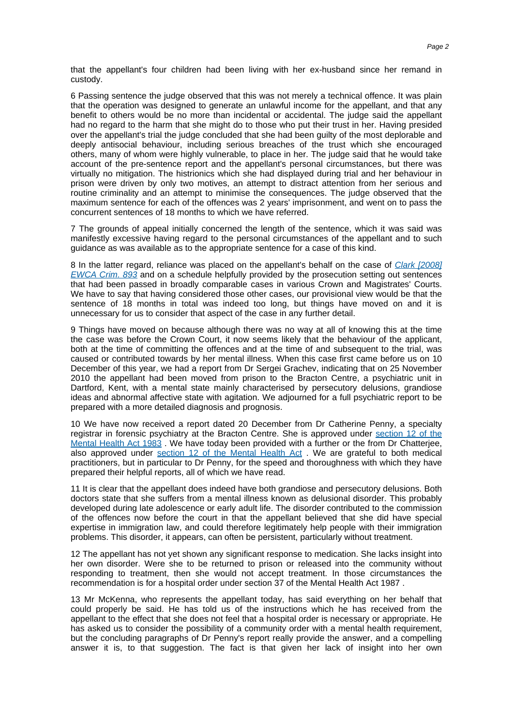that the appellant's four children had been living with her ex-husband since her remand in custody.

6 Passing sentence the judge observed that this was not merely a technical offence. It was plain that the operation was designed to generate an unlawful income for the appellant, and that any benefit to others would be no more than incidental or accidental. The judge said the appellant had no regard to the harm that she might do to those who put their trust in her. Having presided over the appellant's trial the judge concluded that she had been guilty of the most deplorable and deeply antisocial behaviour, including serious breaches of the trust which she encouraged others, many of whom were highly vulnerable, to place in her. The judge said that he would take account of the pre-sentence report and the appellant's personal circumstances, but there was virtually no mitigation. The histrionics which she had displayed during trial and her behaviour in prison were driven by only two motives, an attempt to distract attention from her serious and routine criminality and an attempt to minimise the consequences. The judge observed that the maximum sentence for each of the offences was 2 years' imprisonment, and went on to pass the concurrent sentences of 18 months to which we have referred.

7 The grounds of appeal initially concerned the length of the sentence, which it was said was manifestly excessive having regard to the personal circumstances of the appellant and to such guidance as was available as to the appropriate sentence for a case of this kind.

8 In the latter regard, reliance was placed on the appellant's behalf on the case of Clark [\[2008\]](http://login.westlaw.co.uk/maf/wluk/ext/app/document?src=doc&linktype=ref&context=248&crumb-action=replace&docguid=I700E35C0128611DD8C0D87A9379519D2) [EWCA](http://login.westlaw.co.uk/maf/wluk/ext/app/document?src=doc&linktype=ref&context=248&crumb-action=replace&docguid=I700E35C0128611DD8C0D87A9379519D2) Crim. 893 and on a schedule helpfully provided by the prosecution setting out sentences that had been passed in broadly comparable cases in various Crown and Magistrates' Courts. We have to say that having considered those other cases, our provisional view would be that the sentence of 18 months in total was indeed too long, but things have moved on and it is unnecessary for us to consider that aspect of the case in any further detail.

9 Things have moved on because although there was no way at all of knowing this at the time the case was before the Crown Court, it now seems likely that the behaviour of the applicant, both at the time of committing the offences and at the time of and subsequent to the trial, was caused or contributed towards by her mental illness. When this case first came before us on 10 December of this year, we had a report from Dr Sergei Grachev, indicating that on 25 November 2010 the appellant had been moved from prison to the Bracton Centre, a psychiatric unit in Dartford, Kent, with a mental state mainly characterised by persecutory delusions, grandiose ideas and abnormal affective state with agitation. We adjourned for a full psychiatric report to be prepared with a more detailed diagnosis and prognosis.

10 We have now received a report dated 20 December from Dr Catherine Penny, a specialty registrar in forensic psychiatry at the Bracton Centre. She is approved under [section](http://login.westlaw.co.uk/maf/wluk/ext/app/document?src=doc&linktype=ref&context=248&crumb-action=replace&docguid=IA13DD320E44911DA8D70A0E70A78ED65) 12 of the [Mental](http://login.westlaw.co.uk/maf/wluk/ext/app/document?src=doc&linktype=ref&context=248&crumb-action=replace&docguid=IA13DD320E44911DA8D70A0E70A78ED65) Health Act 1983 . We have today been provided with a further or the from Dr Chatterjee, also approved under [section](http://login.westlaw.co.uk/maf/wluk/ext/app/document?src=doc&linktype=ref&context=248&crumb-action=replace&docguid=IA13DD320E44911DA8D70A0E70A78ED65) 12 of the Mental Health Act . We are grateful to both medical practitioners, but in particular to Dr Penny, for the speed and thoroughness with which they have prepared their helpful reports, all of which we have read.

11 It is clear that the appellant does indeed have both grandiose and persecutory delusions. Both doctors state that she suffers from a mental illness known as delusional disorder. This probably developed during late adolescence or early adult life. The disorder contributed to the commission of the offences now before the court in that the appellant believed that she did have special expertise in immigration law, and could therefore legitimately help people with their immigration problems. This disorder, it appears, can often be persistent, particularly without treatment.

12 The appellant has not yet shown any significant response to medication. She lacks insight into her own disorder. Were she to be returned to prison or released into the community without responding to treatment, then she would not accept treatment. In those circumstances the recommendation is for a hospital order under section 37 of the Mental Health Act 1987 .

13 Mr McKenna, who represents the appellant today, has said everything on her behalf that could properly be said. He has told us of the instructions which he has received from the appellant to the effect that she does not feel that a hospital order is necessary or appropriate. He has asked us to consider the possibility of a community order with a mental health requirement, but the concluding paragraphs of Dr Penny's report really provide the answer, and a compelling answer it is, to that suggestion. The fact is that given her lack of insight into her own